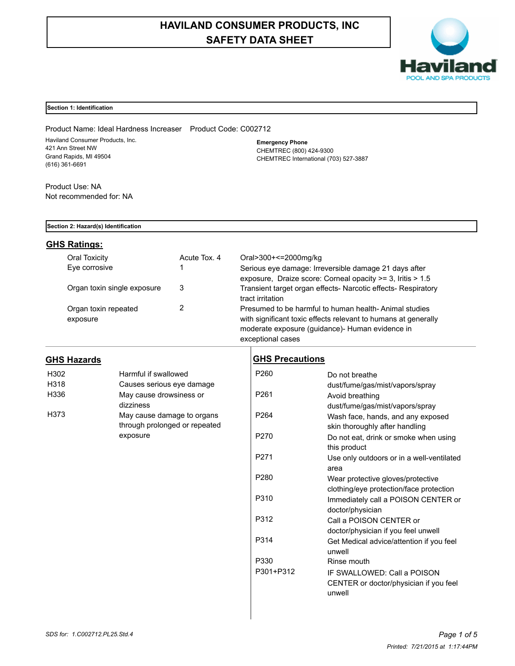# **HAVILAND CONSUMER PRODUCTS, INC SAFETY DATA SHEET**



## **Section 1: Identification**

Product Name: Ideal Hardness Increaser Product Code: C002712 Haviland Consumer Products, Inc. 421 Ann Street NW Grand Rapids, MI 49504 (616) 361-6691

**Emergency Phone** CHEMTREC (800) 424-9300 CHEMTREC International (703) 527-3887

Product Use: NA Not recommended for: NA

## **Section 2: Hazard(s) Identification**

## **GHS Ratings:**

| Oral Toxicity                    | Acute Tox, 4 | Oral>300+<=2000mg/kg                                                                                                                                                                           |
|----------------------------------|--------------|------------------------------------------------------------------------------------------------------------------------------------------------------------------------------------------------|
| Eye corrosive                    |              | Serious eve damage: Irreversible damage 21 days after<br>exposure, Draize score: Corneal opacity >= 3, Iritis > 1.5                                                                            |
| Organ toxin single exposure      | 3            | Transient target organ effects- Narcotic effects- Respiratory<br>tract irritation                                                                                                              |
| Organ toxin repeated<br>exposure |              | Presumed to be harmful to human health-Animal studies<br>with significant toxic effects relevant to humans at generally<br>moderate exposure (quidance) Human evidence in<br>exceptional cases |

## **GHS Hazards**

| H302 | Harmful if swallowed          |
|------|-------------------------------|
| H318 | Causes serious eye damage     |
| H336 | May cause drowsiness or       |
|      | dizziness                     |
| H373 | May cause damage to organs    |
|      | through prolonged or repeated |
|      | exposure                      |

## **GHS Precautions**

| P <sub>260</sub> | Do not breathe                            |
|------------------|-------------------------------------------|
|                  | dust/fume/gas/mist/vapors/spray           |
| P <sub>261</sub> | Avoid breathing                           |
|                  | dust/fume/gas/mist/vapors/spray           |
| P <sub>264</sub> | Wash face, hands, and any exposed         |
|                  | skin thoroughly after handling            |
| P270             | Do not eat, drink or smoke when using     |
|                  | this product                              |
| P271             | Use only outdoors or in a well-ventilated |
|                  | area                                      |
| P <sub>280</sub> | Wear protective gloves/protective         |
|                  | clothing/eye protection/face protection   |
| P310             | Immediately call a POISON CENTER or       |
|                  | doctor/physician                          |
| P312             | Call a POISON CENTER or                   |
|                  | doctor/physician if you feel unwell       |
| P314             | Get Medical advice/attention if you feel  |
|                  | unwell                                    |
| P330             | Rinse mouth                               |
| P301+P312        | IF SWALLOWED: Call a POISON               |
|                  | CENTER or doctor/physician if you feel    |
|                  | unwell                                    |
|                  |                                           |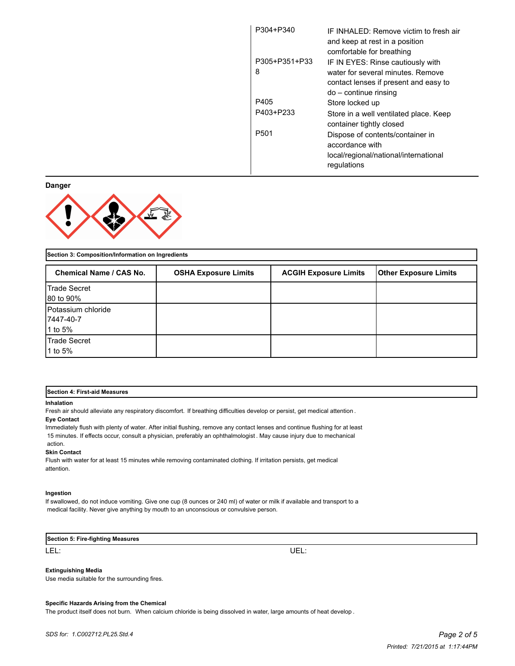| P304+P340        | IF INHAI FD: Remove victim to fresh air<br>and keep at rest in a position |
|------------------|---------------------------------------------------------------------------|
|                  | comfortable for breathing                                                 |
| P305+P351+P33    | IF IN EYES: Rinse cautiously with                                         |
| 8                | water for several minutes. Remove                                         |
|                  | contact lenses if present and easy to                                     |
|                  | do – continue rinsing                                                     |
| P405             | Store locked up                                                           |
| P403+P233        | Store in a well ventilated place. Keep<br>container tightly closed        |
| P <sub>501</sub> | Dispose of contents/container in                                          |
|                  | accordance with                                                           |
|                  | local/regional/national/international                                     |
|                  | regulations                                                               |

**Danger**



**Section 3: Composition/Information on Ingredients**

| <b>Chemical Name / CAS No.</b> | <b>OSHA Exposure Limits</b> | <b>ACGIH Exposure Limits</b> | <b>Other Exposure Limits</b> |
|--------------------------------|-----------------------------|------------------------------|------------------------------|
| Trade Secret                   |                             |                              |                              |
| 80 to 90%                      |                             |                              |                              |
| Potassium chloride             |                             |                              |                              |
| 7447-40-7                      |                             |                              |                              |
| 1 to 5%                        |                             |                              |                              |
| Trade Secret<br>1 to 5%        |                             |                              |                              |
|                                |                             |                              |                              |

#### **Section 4: First-aid Measures**

#### **Inhalation**

Fresh air should alleviate any respiratory discomfort. If breathing difficulties develop or persist, get medical attention .

### **Eye Contact**

Immediately flush with plenty of water. After initial flushing, remove any contact lenses and continue flushing for at least 15 minutes. If effects occur, consult a physician, preferably an ophthalmologist . May cause injury due to mechanical action. **Skin Contact**

Flush with water for at least 15 minutes while removing contaminated clothing. If irritation persists, get medical attention.

### **Ingestion**

If swallowed, do not induce vomiting. Give one cup (8 ounces or 240 ml) of water or milk if available and transport to a medical facility. Never give anything by mouth to an unconscious or convulsive person.

#### **Section 5: Fire-fighting Measures**

LEL: UEL:

#### **Extinguishing Media**

Use media suitable for the surrounding fires.

#### **Specific Hazards Arising from the Chemical**

The product itself does not burn. When calcium chloride is being dissolved in water, large amounts of heat develop .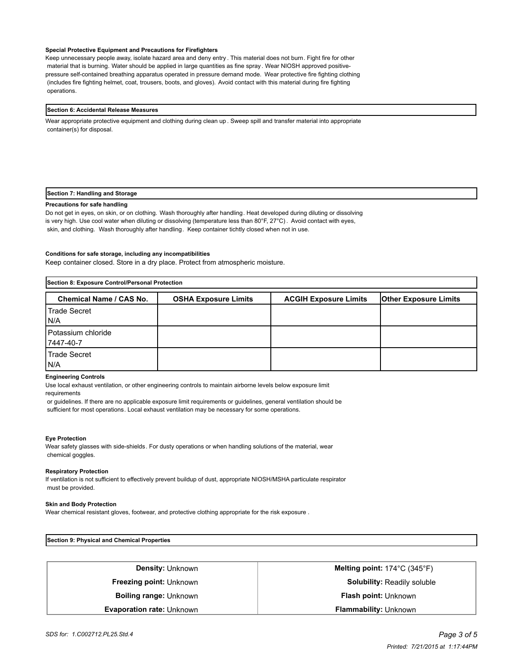#### **Special Protective Equipment and Precautions for Firefighters**

Keep unnecessary people away, isolate hazard area and deny entry . This material does not burn. Fight fire for other material that is burning. Water should be applied in large quantities as fine spray . Wear NIOSH approved positivepressure self-contained breathing apparatus operated in pressure demand mode. Wear protective fire fighting clothing (includes fire fighting helmet, coat, trousers, boots, and gloves). Avoid contact with this material during fire fighting operations.

#### **Section 6: Accidental Release Measures**

Wear appropriate protective equipment and clothing during clean up . Sweep spill and transfer material into appropriate container(s) for disposal.

#### **Section 7: Handling and Storage**

#### **Precautions for safe handling**

Do not get in eyes, on skin, or on clothing. Wash thoroughly after handling. Heat developed during diluting or dissolving is very high. Use cool water when diluting or dissolving (temperature less than 80°F, 27°C) . Avoid contact with eyes, skin, and clothing. Wash thoroughly after handling. Keep container tichtly closed when not in use.

### **Conditions for safe storage, including any incompatibilities**

Keep container closed. Store in a dry place. Protect from atmospheric moisture.

| Section 8: Exposure Control/Personal Protection |                             |                              |                              |
|-------------------------------------------------|-----------------------------|------------------------------|------------------------------|
| <b>Chemical Name / CAS No.</b>                  | <b>OSHA Exposure Limits</b> | <b>ACGIH Exposure Limits</b> | <b>Other Exposure Limits</b> |
| Trade Secret<br>IN/A                            |                             |                              |                              |
| l Potassium chloride<br>7447-40-7               |                             |                              |                              |
| l Trade Secret<br>IN/A                          |                             |                              |                              |

#### **Engineering Controls**

Use local exhaust ventilation, or other engineering controls to maintain airborne levels below exposure limit requirements

 or guidelines. If there are no applicable exposure limit requirements or guidelines, general ventilation should be sufficient for most operations. Local exhaust ventilation may be necessary for some operations.

#### **Eye Protection**

Wear safety glasses with side-shields. For dusty operations or when handling solutions of the material, wear chemical goggles.

#### **Respiratory Protection**

If ventilation is not sufficient to effectively prevent buildup of dust, appropriate NIOSH/MSHA particulate respirator must be provided.

#### **Skin and Body Protection**

Wear chemical resistant gloves, footwear, and protective clothing appropriate for the risk exposure .

**Section 9: Physical and Chemical Properties**

| <b>Density: Unknown</b>        | Melting point: $174^{\circ}$ C (345 $^{\circ}$ F) |
|--------------------------------|---------------------------------------------------|
| <b>Freezing point: Unknown</b> | <b>Solubility: Readily soluble</b>                |
| <b>Boiling range: Unknown</b>  | <b>Flash point: Unknown</b>                       |
| Evaporation rate: Unknown      | <b>Flammability: Unknown</b>                      |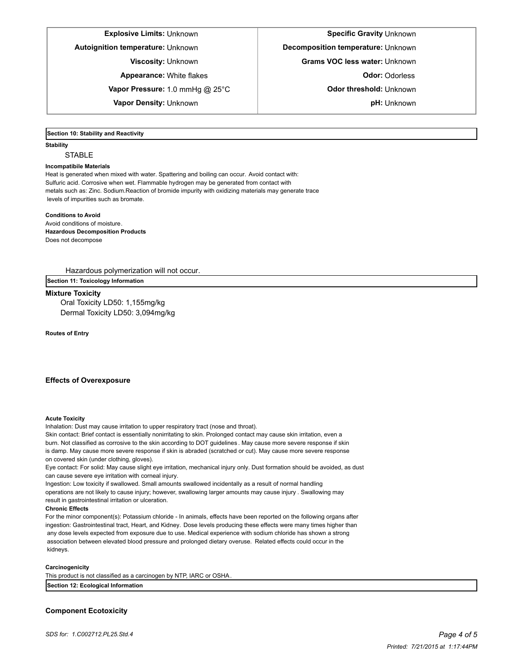## **Explosive Limits: Unknown <b>Specific Gravity** Unknown **Specific Gravity** Unknown

**Appearance:** White flakes **Constanting Constanting Constanting Odor:** Odorless

**Vapor Pressure:** 1.0 mmHg @ 25°C <br> **Odor threshold:** Unknown

**Vapor Density:** Unknown **pH:** Unknown

**Autoignition temperature:** Unknown **Decomposition temperature: Unknown** 

**Viscosity:** Unknown **Grams VOC less water:** Unknown

## **Section 10: Stability and Reactivity**

#### **Stability**

**STABLE** 

#### **Incompatibile Materials**

Heat is generated when mixed with water. Spattering and boiling can occur. Avoid contact with: Sulfuric acid. Corrosive when wet. Flammable hydrogen may be generated from contact with metals such as: Zinc. Sodium.Reaction of bromide impurity with oxidizing materials may generate trace levels of impurities such as bromate.

#### **Conditions to Avoid**

Avoid conditions of moisture. **Hazardous Decomposition Products** Does not decompose

Hazardous polymerization will not occur.

**Section 11: Toxicology Information**

### **Mixture Toxicity**

Oral Toxicity LD50: 1,155mg/kg Dermal Toxicity LD50: 3,094mg/kg

**Routes of Entry**

## **Effects of Overexposure**

#### **Acute Toxicity**

Inhalation: Dust may cause irritation to upper respiratory tract (nose and throat).

Skin contact: Brief contact is essentially nonirritating to skin. Prolonged contact may cause skin irritation, even a burn. Not classified as corrosive to the skin according to DOT guidelines . May cause more severe response if skin is damp. May cause more severe response if skin is abraded (scratched or cut). May cause more severe response on covered skin (under clothing, gloves).

Eye contact: For solid: May cause slight eye irritation, mechanical injury only. Dust formation should be avoided, as dust can cause severe eye irritation with corneal injury.

Ingestion: Low toxicity if swallowed. Small amounts swallowed incidentally as a result of normal handling

operations are not likely to cause injury; however, swallowing larger amounts may cause injury . Swallowing may result in gastrointestinal irritation or ulceration.

#### **Chronic Effects**

For the minor component(s): Potassium chloride - In animals, effects have been reported on the following organs after ingestion: Gastrointestinal tract, Heart, and Kidney. Dose levels producing these effects were many times higher than any dose levels expected from exposure due to use. Medical experience with sodium chloride has shown a strong association between elevated blood pressure and prolonged dietary overuse. Related effects could occur in the kidneys.

#### **Carcinogenicity**

This product is not classified as a carcinogen by NTP, IARC or OSHA. **Section 12: Ecological Information**

## **Component Ecotoxicity**